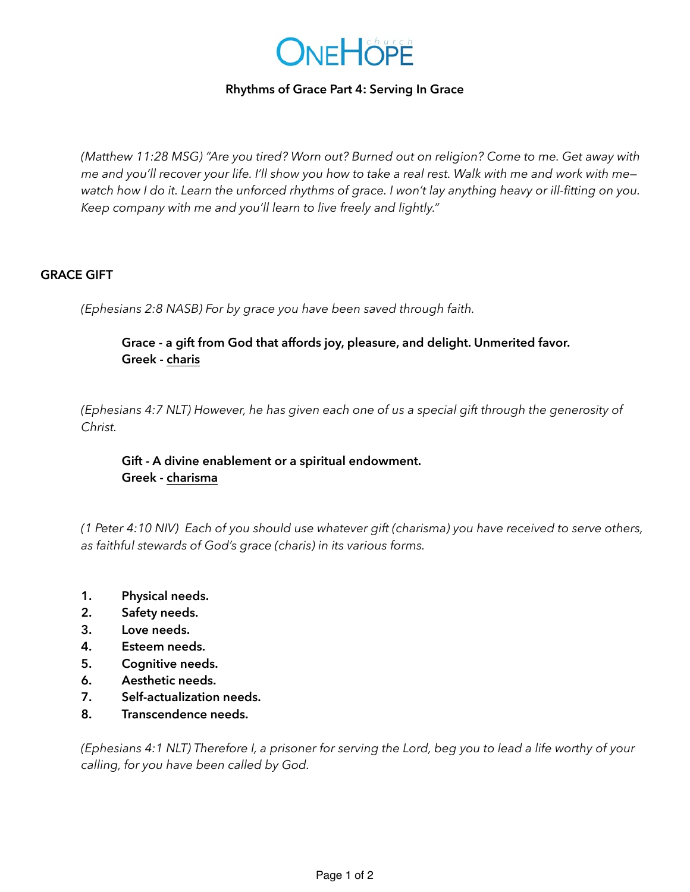

# **Rhythms of Grace Part 4: Serving In Grace**

*(Matthew 11:28 MSG) "Are you tired? Worn out? Burned out on religion? Come to me. Get away with me and you'll recover your life. I'll show you how to take a real rest. Walk with me and work with me watch how I do it. Learn the unforced rhythms of grace. I won't lay anything heavy or ill-fitting on you. Keep company with me and you'll learn to live freely and lightly."*

# **GRACE GIFT**

*(Ephesians 2:8 NASB) For by grace you have been saved through faith.* 

# **Grace - a gift from God that affords joy, pleasure, and delight. Unmerited favor. Greek - charis**

*(Ephesians 4:7 NLT) However, he has given each one of us a special gift through the generosity of Christ.*

 **Gift - A divine enablement or a spiritual endowment. Greek - charisma** 

*(1 Peter 4:10 NIV) Each of you should use whatever gift (charisma) you have received to serve others, as faithful stewards of God's grace (charis) in its various forms.*

- **1. Physical needs.**
- **2. Safety needs.**
- **3. Love needs.**
- **4. Esteem needs.**
- **5. Cognitive needs.**
- **6. Aesthetic needs.**
- **7. Self-actualization needs.**
- **8. Transcendence needs.**

*(Ephesians 4:1 NLT) Therefore I, a prisoner for serving the Lord, beg you to lead a life worthy of your calling, for you have been called by God.*